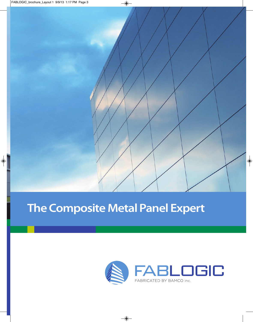

# **The Composite Metal Panel Expert**

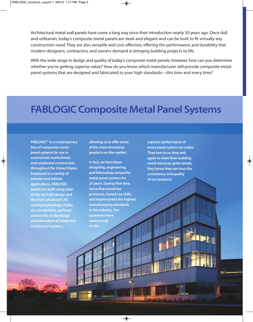Architectural metal wall panels have come a long way since their introduction nearly 50 years ago. Once dull and utilitarian, today's composite metal panels are sleek and elegant and can be built to fit virtually any construction need. they are also versatile and cost-effective, offering the performance and durability that modern designers, contractors, and owners demand in bringing building projects to life.

With the wide range in design and quality of today's composite metal panels, however, how can you determine whether you're getting superior value? How do you know which manufacturer will provide composite metal panel systems that are designed and fabricated to your high standards—this time and every time?

## **FABLOGIC Composite Metal Panel Systems**

**FABLOGIC™ is a contemporary line of composite metal panel systems for use in commercial, institutional, and residential construction throughout the United States. Employed in a variety of exterior and interior applications, FABLOGIC panels are built using stateof-the-art CAD design and the most advanced CNC routing technology. Unlike our competitors, we focus exclusively on the design and fabrication of composite metal panel systems,** 

**allowing us to offer some of the most innovative products on the market.** 

**In fact, we have been designing, engineering, and fabricating composite metal panel systems for 25 years. During that time, we've fine-tuned our processes, honed our skills, and implemented the highest manufacturing standards in the industry. Our customers have come to rely on the** 

**superior performance of every panel system we create. They turn to us time and again to meet their building needs because, quite simply, they know they can trust the consistency and quality of our products.**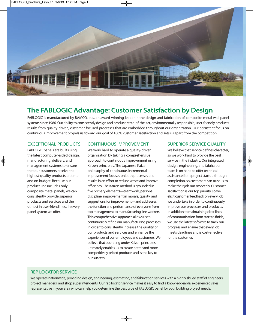

### **The FABLOGIC Advantage: Customer Satisfaction by Design**

FaBLoGic is manufactured by Bamco, inc., an award-winning leader in the design and fabrication of composite metal wall panel systems since 1986. Our ability to consistently design and produce state-of-the-art, environmentally responsible, user-friendly products results from quality-driven, customer-focused processes that are embedded throughout our organization. Our persistent focus on continuous improvement propels us toward our goal of 100% customer satisfaction and sets us apart from the competition.

#### exceptionaL pRoductS

FaBLoGic panels are built using the latest computer-aided design, manufacturing, delivery, and management systems to ensure that our customers receive the highest-quality products on time and on budget. Because our product line includes only composite metal panels, we can consistently provide superior products and services and the utmost in user-friendliness in every panel system we offer.

#### continuouS impRovement

We work hard to operate a quality-driven organization by taking a comprehensive approach to continuous improvement using Kaizen principles. The Japanese Kaizen philosophy of continuous incremental improvement focuses on both processes and results in an effort to reduce waste and improve efficiency. The Kaizen method is grounded in five primary elements—teamwork, personal discipline, improvement in morale, quality, and suggestions for improvement—and addresses the function and performance of everyone from top management to manufacturing line workers. This comprehensive approach allows us to continuously refine our manufacturing processes in order to consistently increase the quality of our products and services and enhance the experiences of our employees and customers. We believe that operating under Kaizen principles ultimately enables us to create better and more competitively priced products and is the key to our success.

#### SupeRioR SeRvice QuaLity

We believe that service defines character. so we work hard to provide the best service in the industry. Our integrated design, engineering, and fabrication team is on hand to offer technical assistance from project startup through completion, so customers can trust us to make their job run smoothly. customer satisfaction is our top priority, so we elicit customer feedback on every job we undertake in order to continuously improve our processes and products. in addition to maintaining clear lines of communication from start to finish, we use the latest software to track our progress and ensure that every job meets deadlines and is cost-effective for the customer.

#### Rep LocatoR SeRvice

We operate nationwide, providing design, engineering, estimating, and fabrication services with a highly skilled staff of engineers, project managers, and shop superintendents. our rep locator service makes it easy to find a knowledgeable, experienced sales representative in your area who can help you determine the best type of FaBLoGic panel for your building project needs.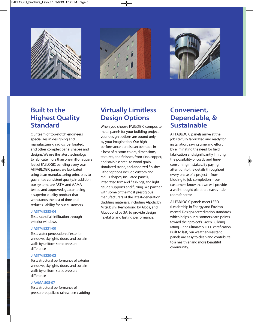





### **Built to the Highest Quality Standard**

Our team of top-notch engineers specializes in designing and manufacturing radius, perforated, and other complex panel shapes and designs. We use the latest technology to fabricate more than one million square feet of FABLOGIC paneling every year. all FaBLoGic panels are fabricated using Lean manufacturing principles to guarantee consistent quality. in addition, our systems are ASTM and AAMA tested and approved, guaranteeing a superior-quality product that withstands the test of time and reduces liability for our customers.

#### **✓ASTM E283-04**

Tests rate of air infiltration through exterior windows

#### **✓ASTM E331-00**

Tests water penetration of exterior windows, skylights, doors, and curtain walls by uniform static pressure difference

#### **✓ASTM E330-02**

Tests structural performance of exterior windows, skylights, doors, and curtain walls by uniform static pressure difference

#### **✓AAMA 508-07**

Tests structural performance of pressure-equalized rain screen cladding

### **Virtually Limitless Design Options**

When you choose FABLOGIC composite metal panels for your building project, your design options are bound only by your imagination. Our highperformance panels can be made in a host of custom colors, dimensions, textures, and finishes, from zinc, copper, and stainless steel to wood grain, simulated stone, and anodized finishes. other options include custom and radius shapes, insulated panels, integrated trim and flashings, and light gauge supports and furring. We partner with some of the most prestigious manufacturers of the latest-generation cladding materials, including alpolic by mitsubishi, Reynobond by alcoa, and alucobond by 3a, to provide design flexibility and lasting performance.

### **Convenient, Dependable, & Sustainable**

all FaBLoGic panels arrive at the jobsite fully fabricated and ready for installation, saving time and effort by eliminating the need for field fabrication and significantly limiting the possibility of costly and timeconsuming mistakes. By paying attention to the details throughout every phase of a project—from bidding to job completion—our customers know that we will provide a well-thought plan that leaves little room for error.

all FaBLoGic panels meet Leed (Leadership in Energy and Environmental Design) accreditation standards, which helps our customers earn points toward their project's Green Building rating—and ultimately LEED certification. Built to last, our weather-resistant panels are easy to clean and contribute to a healthier and more beautiful community.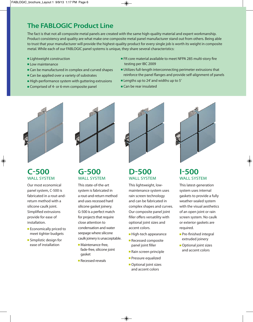### **The FABLOGIC Product Line**

The fact is that not all composite metal panels are created with the same high-quality material and expert workmanship. product consistency and quality are what make one composite metal panel manufacturer stand out from others. Being able to trust that your manufacturer will provide the highest-quality product for every single job is worth its weight in composite metal. While each of our FaBLoGic panel systems is unique, they share several characteristics:

- **■** Lightweight construction
- **■** Low maintenance
- Can be manufactured in complex and curved shapes
- Can be applied over a variety of substrates
- **■** High-performance system with guttering extrusions
- **■** comprised of 4- or 6-mm composite panel
- FR core material available to meet NFPA 285 multi-story fire testing per iBc 2009
- **■** Utilizes full-length interconnecting perimeter extrusions that reinforce the panel flanges and provide self-alignment of panels
- **■** Lengths up to 24' and widths up to 5'
- **■** can be rear insulated



### **C-500** WALL SYSTEM

our most economical panel system, c-500 is fabricated in a rout-andreturn method with a silicone caulk joint. Simplified extrusions provide for ease of installation.

- **■** Economically priced to meet tighter budgets
- **■** Simplistic design for ease of installation



### **G-500** WALL SYSTEM

This state-of-the-art system is fabricated in a rout-and-return method and uses recessed hard silicone gasket joinery. G-500 is a perfect match for projects that require close attention to condensation and water seepage where silicone caulk joinery is unacceptable.

- **■** maintenance-free, fade-free, silicone joint gasket
- **■** Recessed reveals



### **D-500** WALL SYSTEM

This lightweight, lowmaintenance system uses rain screen technology and can be fabricated in complex shapes and curves. Our composite panel joint filler offers versatility with optional joint sizes and accent colors.

- **■** High-tech appearance
- **■** Recessed composite panel joint filler
- **■** Rain screen principle
- **■** pressure equalized
- Optional joint sizes and accent colors



### **I-500** WALL SYSTEM

This latest-generation system uses internal gaskets to provide a fully weather-sealed system with the visual aesthetics of an open joint or rain screen system. No caulk or exterior gaskets are required.

- **■** pre-finished integral extruded joinery
- **■** Optional joint sizes and accent colors